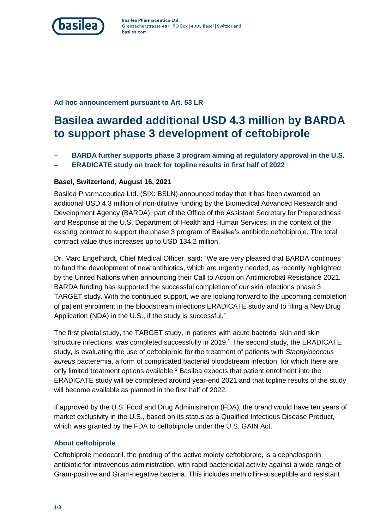

Basilea Pharmaceutica Ltd. Grenzacherstrasse 487 | PO Box | 4005 Basel | Switzerland basilea.com

**Ad hoc announcement pursuant to Art. 53 LR**

# **Basilea awarded additional USD 4.3 million by BARDA to support phase 3 development of ceftobiprole**

- **– BARDA further supports phase 3 program aiming at regulatory approval in the U.S.**
- **– ERADICATE study on track for topline results in first half of 2022**

### **Basel, Switzerland, August 16, 2021**

Basilea Pharmaceutica Ltd. (SIX: BSLN) announced today that it has been awarded an additional USD 4.3 million of non-dilutive funding by the Biomedical Advanced Research and Development Agency (BARDA), part of the Office of the Assistant Secretary for Preparedness and Response at the U.S. Department of Health and Human Services, in the context of the existing contract to support the phase 3 program of Basilea's antibiotic ceftobiprole. The total contract value thus increases up to USD 134.2 million.

Dr. Marc Engelhardt, Chief Medical Officer, said: "We are very pleased that BARDA continues to fund the development of new antibiotics, which are urgently needed, as recently highlighted by the United Nations when announcing their Call to Action on Antimicrobial Resistance 2021. BARDA funding has supported the successful completion of our skin infections phase 3 TARGET study. With the continued support, we are looking forward to the upcoming completion of patient enrolment in the bloodstream infections ERADICATE study and to filing a New Drug Application (NDA) in the U.S., if the study is successful."

The first pivotal study, the TARGET study, in patients with acute bacterial skin and skin structure infections, was completed successfully in 2019.<sup>1</sup> The second study, the ERADICATE study, is evaluating the use of ceftobiprole for the treatment of patients with *Staphylococcus aureus* bacteremia, a form of complicated bacterial bloodstream infection, for which there are only limited treatment options available. <sup>2</sup> Basilea expects that patient enrolment into the ERADICATE study will be completed around year-end 2021 and that topline results of the study will become available as planned in the first half of 2022.

If approved by the U.S. Food and Drug Administration (FDA), the brand would have ten years of market exclusivity in the U.S., based on its status as a Qualified Infectious Disease Product, which was granted by the FDA to ceftobiprole under the U.S. GAIN Act.

## **About ceftobiprole**

Ceftobiprole medocaril, the prodrug of the active moiety ceftobiprole, is a cephalosporin antibiotic for intravenous administration, with rapid bactericidal activity against a wide range of Gram-positive and Gram-negative bacteria. This includes methicillin-susceptible and resistant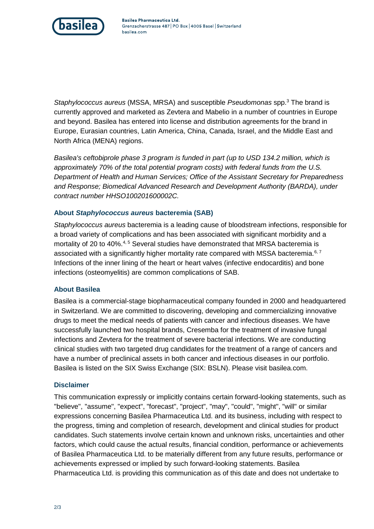

*Staphylococcus aureus* (MSSA, MRSA) and susceptible *Pseudomonas* spp.<sup>3</sup> The brand is currently approved and marketed as Zevtera and Mabelio in a number of countries in Europe and beyond. Basilea has entered into license and distribution agreements for the brand in Europe, Eurasian countries, Latin America, China, Canada, Israel, and the Middle East and North Africa (MENA) regions.

*Basilea's ceftobiprole phase 3 program is funded in part (up to USD 134.2 million, which is approximately 70% of the total potential program costs) with federal funds from the U.S. Department of Health and Human Services; Office of the Assistant Secretary for Preparedness and Response; Biomedical Advanced Research and Development Authority (BARDA), under contract number HHSO100201600002C.*

## **About** *Staphylococcus aureus* **bacteremia (SAB)**

*Staphylococcus aureus* bacteremia is a leading cause of bloodstream infections, responsible for a broad variety of complications and has been associated with significant morbidity and a mortality of 20 to 40%.<sup>4, 5</sup> Several studies have demonstrated that MRSA bacteremia is associated with a significantly higher mortality rate compared with MSSA bacteremia.<sup>6, 7</sup> Infections of the inner lining of the heart or heart valves (infective endocarditis) and bone infections (osteomyelitis) are common complications of SAB.

### **About Basilea**

Basilea is a commercial-stage biopharmaceutical company founded in 2000 and headquartered in Switzerland. We are committed to discovering, developing and commercializing innovative drugs to meet the medical needs of patients with cancer and infectious diseases. We have successfully launched two hospital brands, Cresemba for the treatment of invasive fungal infections and Zevtera for the treatment of severe bacterial infections. We are conducting clinical studies with two targeted drug candidates for the treatment of a range of cancers and have a number of preclinical assets in both cancer and infectious diseases in our portfolio. Basilea is listed on the SIX Swiss Exchange (SIX: BSLN). Please visit basilea.com.

### **Disclaimer**

This communication expressly or implicitly contains certain forward-looking statements, such as "believe", "assume", "expect", "forecast", "project", "may", "could", "might", "will" or similar expressions concerning Basilea Pharmaceutica Ltd. and its business, including with respect to the progress, timing and completion of research, development and clinical studies for product candidates. Such statements involve certain known and unknown risks, uncertainties and other factors, which could cause the actual results, financial condition, performance or achievements of Basilea Pharmaceutica Ltd. to be materially different from any future results, performance or achievements expressed or implied by such forward-looking statements. Basilea Pharmaceutica Ltd. is providing this communication as of this date and does not undertake to